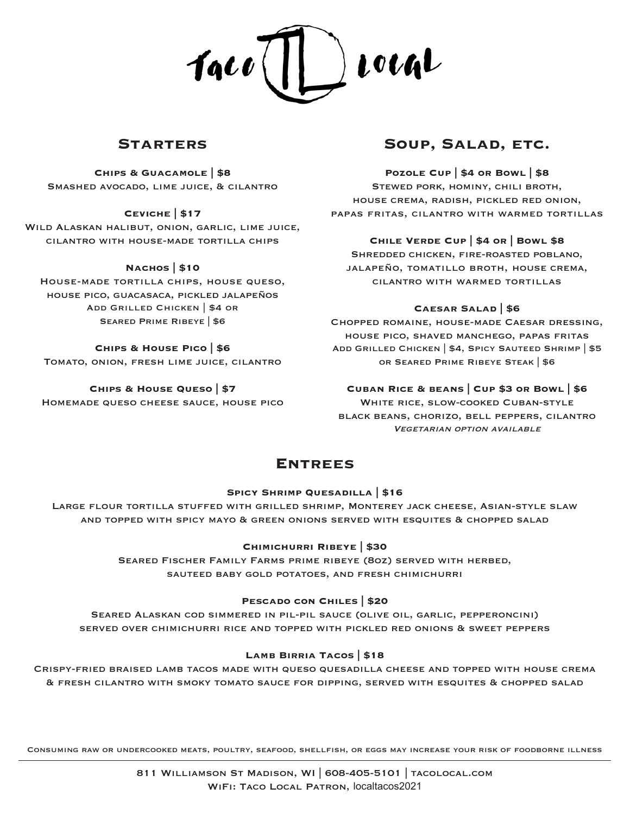

## **Starters**

**Chips & Guacamole | \$8** Smashed avocado, lime juice, & cilantro

### **Ceviche | \$17**

Wild Alaskan halibut, onion, garlic, lime juice, cilantro with house-made tortilla chips

#### **Nachos | \$10**

House-made tortilla chips, house queso, house pico, guacasaca, pickled jalapeños Add Grilled Chicken | \$4 or Seared Prime Ribeye | \$6

#### **Chips & House Pico | \$6**

Tomato, onion, fresh lime juice, cilantro

#### **Chips & House Queso | \$7**

Homemade queso cheese sauce, house pico

# **Soup, Salad, etc.**

**Pozole Cup | \$4 or Bowl | \$8** Stewed pork, hominy, chili broth, house crema, radish, pickled red onion, papas fritas, cilantro with warmed tortillas

#### **Chile Verde Cup | \$4 or | Bowl \$8**

Shredded chicken, fire-roasted poblano, jalapeño, tomatillo broth, house crema, cilantro with warmed tortillas

#### **Caesar Salad | \$6**

Chopped romaine, house-made Caesar dressing, house pico, shaved manchego, papas fritas Add Grilled Chicken | \$4, Spicy Sauteed Shrimp | \$5 or Seared Prime Ribeye Steak | \$6

### **Cuban Rice & beans | Cup \$3 or Bowl | \$6**

WHITE RICE, SLOW-COOKED CUBAN-STYLE black beans, chorizo, bell peppers, cilantro Vegetarian option available

# **Entrees**

#### **Spicy Shrimp Quesadilla | \$16**

Large flour tortilla stuffed with grilled shrimp, Monterey jack cheese, Asian-style slaw and topped with spicy mayo & green onions served with esquites & chopped salad

#### **Chimichurri Ribeye | \$30**

Seared Fischer Family Farms prime ribeye (8oz) served with herbed, sauteed baby gold potatoes, and fresh chimichurri

#### **Pescado con Chiles | \$20**

Seared Alaskan cod simmered in pil-pil sauce (olive oil, garlic, pepperoncini) served over chimichurri rice and topped with pickled red onions & sweet peppers

### **Lamb Birria Tacos | \$18**

Crispy-fried braised lamb tacos made with queso quesadilla cheese and topped with house crema & fresh cilantro with smoky tomato sauce for dipping, served with esquites & chopped salad

Consuming raw or undercooked meats, poultry, seafood, shellfish, or eggs may increase your risk of foodborne illness